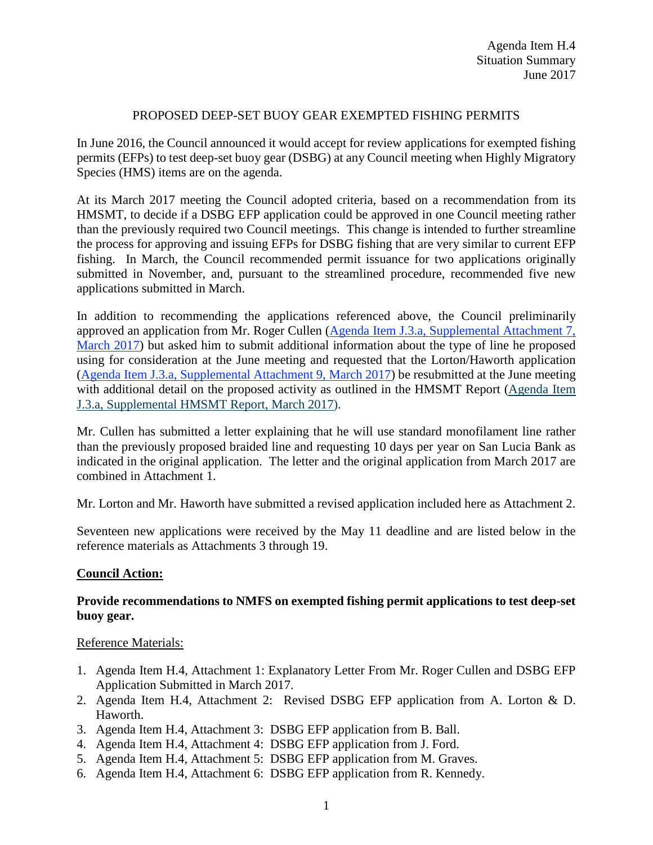# PROPOSED DEEP-SET BUOY GEAR EXEMPTED FISHING PERMITS

In June 2016, the Council announced it would accept for review applications for exempted fishing permits (EFPs) to test deep-set buoy gear (DSBG) at any Council meeting when Highly Migratory Species (HMS) items are on the agenda.

At its March 2017 meeting the Council adopted criteria, based on a recommendation from its HMSMT, to decide if a DSBG EFP application could be approved in one Council meeting rather than the previously required two Council meetings. This change is intended to further streamline the process for approving and issuing EFPs for DSBG fishing that are very similar to current EFP fishing. In March, the Council recommended permit issuance for two applications originally submitted in November, and, pursuant to the streamlined procedure, recommended five new applications submitted in March.

In addition to recommending the applications referenced above, the Council preliminarily approved an application from Mr. Roger Cullen [\(Agenda Item J.3.a, Supplemental Attachment 7,](http://www.pcouncil.org/wp-content/uploads/2017/03/J3_Sup_Att7_Cullen_DSBG_EFP_Mar2017BB.pdf)  [March 2017\)](http://www.pcouncil.org/wp-content/uploads/2017/03/J3_Sup_Att7_Cullen_DSBG_EFP_Mar2017BB.pdf) but asked him to submit additional information about the type of line he proposed using for consideration at the June meeting and requested that the Lorton/Haworth application [\(Agenda Item J.3.a, Supplemental Attachment 9, March 2017\)](http://www.pcouncil.org/wp-content/uploads/2017/03/J3_Sup_Att9_Haworth_Lorton_DSBG_EFP_Mar2017BB.pdf) be resubmitted at the June meeting with additional detail on the proposed activity as outlined in the HMSMT Report [\(Agenda Item](http://www.pcouncil.org/wp-content/uploads/2017/03/J3a_Sup_HMSMT_Rpt_DSBG_EFPs_Mar2017BB.pdf)  [J.3.a, Supplemental HMSMT Report, March 2017\)](http://www.pcouncil.org/wp-content/uploads/2017/03/J3a_Sup_HMSMT_Rpt_DSBG_EFPs_Mar2017BB.pdf).

Mr. Cullen has submitted a letter explaining that he will use standard monofilament line rather than the previously proposed braided line and requesting 10 days per year on San Lucia Bank as indicated in the original application. The letter and the original application from March 2017 are combined in Attachment 1.

Mr. Lorton and Mr. Haworth have submitted a revised application included here as Attachment 2.

Seventeen new applications were received by the May 11 deadline and are listed below in the reference materials as Attachments 3 through 19.

## **Council Action:**

## **Provide recommendations to NMFS on exempted fishing permit applications to test deep-set buoy gear.**

## Reference Materials:

- 1. Agenda Item H.4, Attachment 1: Explanatory Letter From Mr. Roger Cullen and DSBG EFP Application Submitted in March 2017.
- 2. Agenda Item H.4, Attachment 2: Revised DSBG EFP application from A. Lorton & D. Haworth.
- 3. Agenda Item H.4, Attachment 3: DSBG EFP application from B. Ball.
- 4. Agenda Item H.4, Attachment 4: DSBG EFP application from J. Ford.
- 5. Agenda Item H.4, Attachment 5: DSBG EFP application from M. Graves.
- 6. Agenda Item H.4, Attachment 6: DSBG EFP application from R. Kennedy.